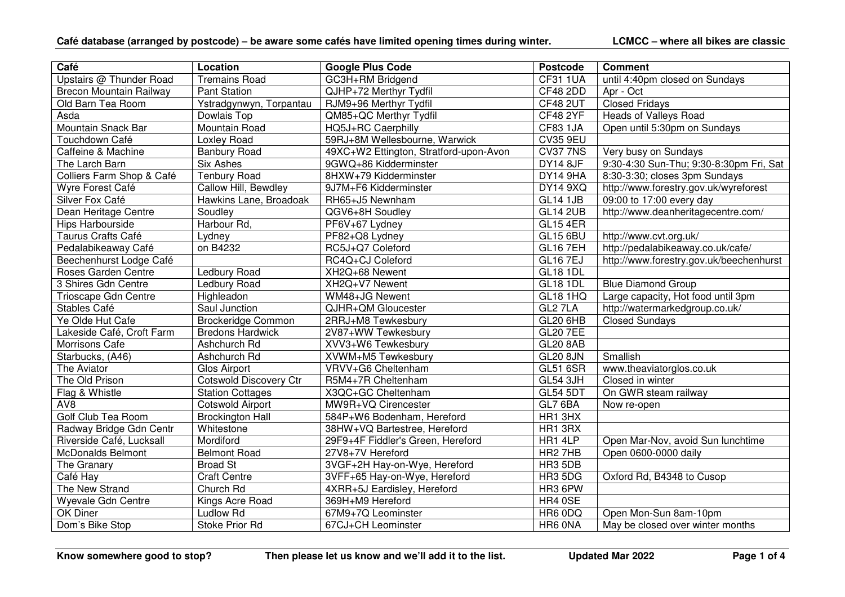| Café                           | Location                      | <b>Google Plus Code</b>                | <b>Postcode</b>      | <b>Comment</b>                          |
|--------------------------------|-------------------------------|----------------------------------------|----------------------|-----------------------------------------|
| Upstairs @ Thunder Road        | <b>Tremains Road</b>          | GC3H+RM Bridgend                       | <b>CF31 1UA</b>      | until 4:40pm closed on Sundays          |
| <b>Brecon Mountain Railway</b> | <b>Pant Station</b>           | QJHP+72 Merthyr Tydfil                 | <b>CF48 2DD</b>      | Apr - Oct                               |
| Old Barn Tea Room              | Ystradgynwyn, Torpantau       | RJM9+96 Merthyr Tydfil                 | CF48 2UT             | <b>Closed Fridays</b>                   |
| Asda                           | Dowlais Top                   | QM85+QC Merthyr Tydfil                 | <b>CF48 2YF</b>      | <b>Heads of Valleys Road</b>            |
| Mountain Snack Bar             | Mountain Road                 | HQ5J+RC Caerphilly                     | <b>CF83 1JA</b>      | Open until 5:30pm on Sundays            |
| Touchdown Café                 | Loxley Road                   | 59RJ+8M Wellesbourne, Warwick          | <b>CV35 9EU</b>      |                                         |
| Caffeine & Machine             | <b>Banbury Road</b>           | 49XC+W2 Ettington, Stratford-upon-Avon | <b>CV37 7NS</b>      | Very busy on Sundays                    |
| The Larch Barn                 | <b>Six Ashes</b>              | 9GWQ+86 Kidderminster                  | <b>DY14 8JF</b>      | 9:30-4:30 Sun-Thu; 9:30-8:30pm Fri, Sat |
| Colliers Farm Shop & Café      | <b>Tenbury Road</b>           | 8HXW+79 Kidderminster                  | DY14 9HA             | 8:30-3:30; closes 3pm Sundays           |
| Wyre Forest Café               | Callow Hill, Bewdley          | 9J7M+F6 Kidderminster                  | <b>DY14 9XQ</b>      | http://www.forestry.gov.uk/wyreforest   |
| Silver Fox Café                | Hawkins Lane, Broadoak        | RH65+J5 Newnham                        | <b>GL14 1JB</b>      | 09:00 to 17:00 every day                |
| Dean Heritage Centre           | Soudley                       | QGV6+8H Soudley                        | <b>GL14 2UB</b>      | http://www.deanheritagecentre.com/      |
| Hips Harbourside               | Harbour Rd,                   | PF6V+67 Lydney                         | <b>GL15 4ER</b>      |                                         |
| Taurus Crafts Café             | Lydney                        | PF82+Q8 Lydney                         | <b>GL15 6BU</b>      | http://www.cvt.org.uk/                  |
| Pedalabikeaway Café            | on B4232                      | RC5J+Q7 Coleford                       | <b>GL16 7EH</b>      | http://pedalabikeaway.co.uk/cafe/       |
| Beechenhurst Lodge Café        |                               | RC4Q+CJ Coleford                       | <b>GL16 7EJ</b>      | http://www.forestry.gov.uk/beechenhurst |
| Roses Garden Centre            | <b>Ledbury Road</b>           | XH2Q+68 Newent                         | <b>GL18 1DL</b>      |                                         |
| 3 Shires Gdn Centre            | Ledbury Road                  | XH2Q+V7 Newent                         | <b>GL18 1DL</b>      | <b>Blue Diamond Group</b>               |
| Trioscape Gdn Centre           | Highleadon                    | WM48+JG Newent                         | <b>GL18 1HQ</b>      | Large capacity, Hot food until 3pm      |
| Stables Café                   | Saul Junction                 | QJHR+QM Gloucester                     | GL2 7LA              | http://watermarkedgroup.co.uk/          |
| Ye Olde Hut Cafe               | <b>Brockeridge Common</b>     | 2RRJ+M8 Tewkesbury                     | <b>GL20 6HB</b>      | <b>Closed Sundays</b>                   |
| Lakeside Café, Croft Farm      | <b>Bredons Hardwick</b>       | 2V87+WW Tewkesbury                     | <b>GL20 7EE</b>      |                                         |
| Morrisons Cafe                 | Ashchurch Rd                  | XVV3+W6 Tewkesbury                     | <b>GL20 8AB</b>      |                                         |
| Starbucks, (A46)               | Ashchurch Rd                  | XVWM+M5 Tewkesbury                     | <b>GL20 8JN</b>      | Smallish                                |
| The Aviator                    | Glos Airport                  | VRVV+G6 Cheltenham                     | <b>GL51 6SR</b>      | www.theaviatorglos.co.uk                |
| The Old Prison                 | <b>Cotswold Discovery Ctr</b> | R5M4+7R Cheltenham                     | <b>GL54 3JH</b>      | Closed in winter                        |
| Flag & Whistle                 | <b>Station Cottages</b>       | X3QC+GC Cheltenham                     | <b>GL54 5DT</b>      | On GWR steam railway                    |
| AV8                            | <b>Cotswold Airport</b>       | MW9R+VQ Cirencester                    | $\overline{GL7}$ 6BA | Now re-open                             |
| Golf Club Tea Room             | <b>Brockington Hall</b>       | 584P+W6 Bodenham, Hereford             | HR1 3HX              |                                         |
| Radway Bridge Gdn Centr        | Whitestone                    | 38HW+VQ Bartestree, Hereford           | HR1 3RX              |                                         |
| Riverside Café, Lucksall       | Mordiford                     | 29F9+4F Fiddler's Green, Hereford      | HR1 4LP              | Open Mar-Nov, avoid Sun lunchtime       |
| <b>McDonalds Belmont</b>       | <b>Belmont Road</b>           | 27V8+7V Hereford                       | HR <sub>2</sub> 7HB  | Open 0600-0000 daily                    |
| The Granary                    | <b>Broad St</b>               | 3VGF+2H Hay-on-Wye, Hereford           | HR3 5DB              |                                         |
| Café Hay                       | <b>Craft Centre</b>           | 3VFF+65 Hay-on-Wye, Hereford           | HR3 5DG              | Oxford Rd, B4348 to Cusop               |
| The New Strand                 | Church Rd                     | 4XRR+5J Eardisley, Hereford            | HR3 6PW              |                                         |
| Wyevale Gdn Centre             | Kings Acre Road               | 369H+M9 Hereford                       | HR4 0SE              |                                         |
| OK Diner                       | <b>Ludlow Rd</b>              | 67M9+7Q Leominster                     | HR6 0DQ              | Open Mon-Sun 8am-10pm                   |
| Dom's Bike Stop                | <b>Stoke Prior Rd</b>         | 67CJ+CH Leominster                     | HR6 ONA              | May be closed over winter months        |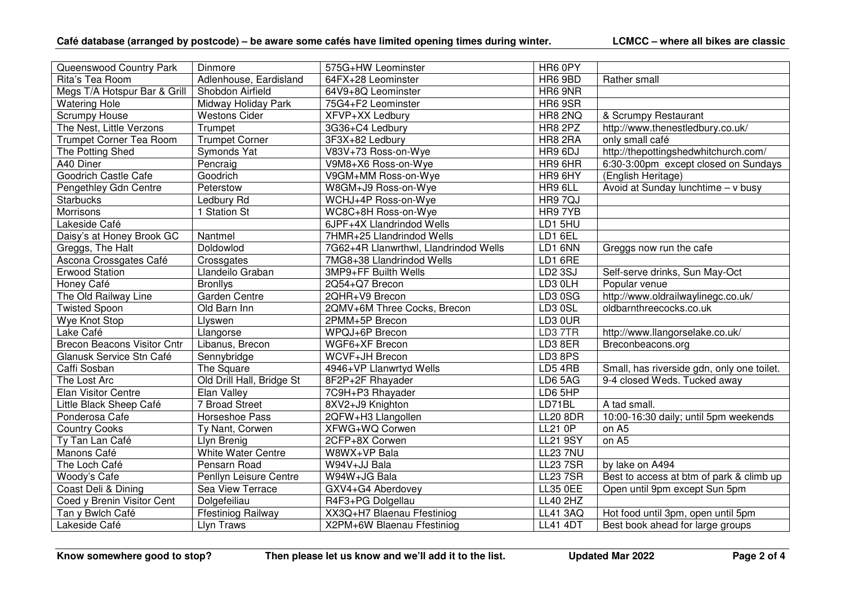| Queenswood Country Park            | Dinmore                   | 575G+HW Leominster                    | HR6 0PY         |                                            |
|------------------------------------|---------------------------|---------------------------------------|-----------------|--------------------------------------------|
| Rita's Tea Room                    | Adlenhouse, Eardisland    | 64FX+28 Leominster                    | HR6 9BD         | Rather small                               |
| Megs T/A Hotspur Bar & Grill       | Shobdon Airfield          | 64V9+8Q Leominster                    | HR6 9NR         |                                            |
| <b>Watering Hole</b>               | Midway Holiday Park       | 75G4+F2 Leominster                    | <b>HR6 9SR</b>  |                                            |
| <b>Scrumpy House</b>               | <b>Westons Cider</b>      | XFVP+XX Ledbury                       | HR8 2NQ         | & Scrumpy Restaurant                       |
| The Nest, Little Verzons           | Trumpet                   | 3G36+C4 Ledbury                       | HR8 2PZ         | http://www.thenestledbury.co.uk/           |
| <b>Trumpet Corner Tea Room</b>     | <b>Trumpet Corner</b>     | 3F3X+82 Ledbury                       | HR8 2RA         | only small café                            |
| The Potting Shed                   | Symonds Yat               | V83V+73 Ross-on-Wye                   | HR9 6DJ         | http://thepottingshedwhitchurch.com/       |
| A40 Diner                          | Pencraig                  | V9M8+X6 Ross-on-Wye                   | HR9 6HR         | 6:30-3:00pm except closed on Sundays       |
| Goodrich Castle Cafe               | Goodrich                  | V9GM+MM Ross-on-Wye                   | HR9 6HY         | (English Heritage)                         |
| Pengethley Gdn Centre              | Peterstow                 | W8GM+J9 Ross-on-Wye                   | HR9 6LL         | Avoid at Sunday lunchtime - v busy         |
| <b>Starbucks</b>                   | Ledbury Rd                | WCHJ+4P Ross-on-Wye                   | HR9 7QJ         |                                            |
| <b>Morrisons</b>                   | 1 Station St              | WC8C+8H Ross-on-Wye                   | HR9 7YB         |                                            |
| Lakeside Café                      |                           | 6JPF+4X Llandrindod Wells             | LD1 5HU         |                                            |
| Daisy's at Honey Brook GC          | Nantmel                   | 7HMR+25 Llandrindod Wells             | LD1 6EL         |                                            |
| Greggs, The Halt                   | Doldowlod                 | 7G62+4R Llanwrthwl, Llandrindod Wells | LD1 6NN         | Greggs now run the cafe                    |
| Ascona Crossgates Café             | Crossgates                | 7MG8+38 Llandrindod Wells             | LD1 6RE         |                                            |
| <b>Erwood Station</b>              | Llandeilo Graban          | 3MP9+FF Builth Wells                  | <b>LD2 3SJ</b>  | Self-serve drinks, Sun May-Oct             |
| Honey Café                         | <b>Bronllys</b>           | 2Q54+Q7 Brecon                        | LD3 0LH         | Popular venue                              |
| The Old Railway Line               | Garden Centre             | 2QHR+V9 Brecon                        | LD3 0SG         | http://www.oldrailwaylinegc.co.uk/         |
| <b>Twisted Spoon</b>               | Old Barn Inn              | 2QMV+6M Three Cocks, Brecon           | LD3 0SL         | oldbarnthreecocks.co.uk                    |
| Wye Knot Stop                      | Llyswen                   | 2PMM+5P Brecon                        | LD3 0UR         |                                            |
| Lake Café                          | Llangorse                 | <b>WPQJ+6P Brecon</b>                 | LD3 7TR         | http://www.llangorselake.co.uk/            |
| <b>Brecon Beacons Visitor Cntr</b> | Libanus, Brecon           | WGF6+XF Brecon                        | LD3 8ER         | Breconbeacons.org                          |
| Glanusk Service Stn Café           | Sennybridge               | WCVF+JH Brecon                        | LD3 8PS         |                                            |
| Caffi Sosban                       | The Square                | 4946+VP Llanwrtyd Wells               | LD54RB          | Small, has riverside gdn, only one toilet. |
| The Lost Arc                       | Old Drill Hall, Bridge St | 8F2P+2F Rhayader                      | LD6 5AG         | 9-4 closed Weds. Tucked away               |
| Elan Visitor Centre                | Elan Valley               | 7C9H+P3 Rhayader                      | LD6 5HP         |                                            |
| Little Black Sheep Café            | 7 Broad Street            | 8XV2+J9 Knighton                      | LD71BL          | A tad small.                               |
| Ponderosa Cafe                     | Horseshoe Pass            | 2QFW+H3 Llangollen                    | <b>LL20 8DR</b> | 10:00-16:30 daily; until 5pm weekends      |
| <b>Country Cooks</b>               | Ty Nant, Corwen           | XFWG+WQ Corwen                        | <b>LL21 0P</b>  | on A5                                      |
| Ty Tan Lan Café                    | Llyn Brenig               | 2CFP+8X Corwen                        | <b>LL21 9SY</b> | on A5                                      |
| Manons Café                        | White Water Centre        | W8WX+VP Bala                          | <b>LL23 7NU</b> |                                            |
| The Loch Café                      | Pensarn Road              | W94V+JJ Bala                          | <b>LL23 7SR</b> | by lake on A494                            |
| Woody's Cafe                       | Penllyn Leisure Centre    | W94W+JG Bala                          | <b>LL23 7SR</b> | Best to access at btm of park & climb up   |
| Coast Deli & Dining                | Sea View Terrace          | GXV4+G4 Aberdovey                     | <b>LL35 0EE</b> | Open until 9pm except Sun 5pm              |
| Coed y Brenin Visitor Cent         | Dolgefeiliau              | R4F3+PG Dolgellau                     | <b>LL40 2HZ</b> |                                            |
| Tan y Bwlch Café                   | <b>Ffestiniog Railway</b> | XX3Q+H7 Blaenau Ffestiniog            | <b>LL41 3AQ</b> | Hot food until 3pm, open until 5pm         |
| Lakeside Café                      | Llyn Traws                | X2PM+6W Blaenau Ffestiniog            | <b>LL41 4DT</b> | Best book ahead for large groups           |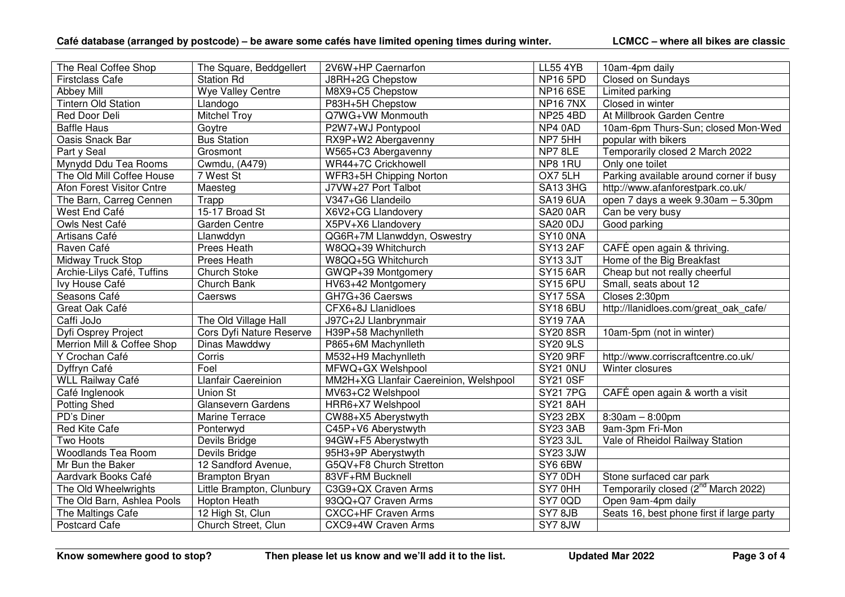| The Real Coffee Shop       | The Square, Beddgellert   | 2V6W+HP Caernarfon                     | <b>LL55 4YB</b>             | 10am-4pm daily                                  |
|----------------------------|---------------------------|----------------------------------------|-----------------------------|-------------------------------------------------|
| <b>Firstclass Cafe</b>     | <b>Station Rd</b>         | J8RH+2G Chepstow                       | NP16 5PD                    | Closed on Sundays                               |
| <b>Abbey Mill</b>          | Wye Valley Centre         | M8X9+C5 Chepstow                       | <b>NP16 6SE</b>             | Limited parking                                 |
| <b>Tintern Old Station</b> | Llandogo                  | P83H+5H Chepstow                       | <b>NP167NX</b>              | Closed in winter                                |
| Red Door Deli              | <b>Mitchel Troy</b>       | Q7WG+VW Monmouth                       | <b>NP25 4BD</b>             | At Millbrook Garden Centre                      |
| <b>Baffle Haus</b>         | Goytre                    | P2W7+WJ Pontypool                      | NP4 0AD                     | 10am-6pm Thurs-Sun; closed Mon-Wed              |
| Oasis Snack Bar            | <b>Bus Station</b>        | RX9P+W2 Abergavenny                    | $\overline{\text{NP7}}$ 5HH | popular with bikers                             |
| Part y Seal                | Grosmont                  | W565+C3 Abergavenny                    | NP7 8LE                     | Temporarily closed 2 March 2022                 |
| Mynydd Ddu Tea Rooms       | Cwmdu, (A479)             | WR44+7C Crickhowell                    | NP8 1RU                     | Only one toilet                                 |
| The Old Mill Coffee House  | 7 West St                 | WFR3+5H Chipping Norton                | OX7 5LH                     | Parking available around corner if busy         |
| Afon Forest Visitor Cntre  | Maesteg                   | J7VW+27 Port Talbot                    | SA13 3HG                    | http://www.afanforestpark.co.uk/                |
| The Barn, Carreg Cennen    | Trapp                     | V347+G6 Llandeilo                      | <b>SA19 6UA</b>             | open 7 days a week 9.30am - 5.30pm              |
| West End Café              | 15-17 Broad St            | X6V2+CG Llandovery                     | <b>SA20 0AR</b>             | Can be very busy                                |
| Owls Nest Café             | Garden Centre             | X5PV+X6 Llandovery                     | <b>SA20 0DJ</b>             | Good parking                                    |
| Artisans Café              | Llanwddyn                 | QG6R+7M Llanwddyn, Oswestry            | SY10 ONA                    |                                                 |
| Raven Café                 | Prees Heath               | W8QQ+39 Whitchurch                     | <b>SY13 2AF</b>             | CAFÉ open again & thriving.                     |
| <b>Midway Truck Stop</b>   | Prees Heath               | W8QQ+5G Whitchurch                     | <b>SY13 3JT</b>             | Home of the Big Breakfast                       |
| Archie-Lilys Café, Tuffins | <b>Church Stoke</b>       | GWQP+39 Montgomery                     | <b>SY15 6AR</b>             | Cheap but not really cheerful                   |
| Ivy House Café             | Church Bank               | HV63+42 Montgomery                     | <b>SY15 6PU</b>             | Small, seats about 12                           |
| Seasons Café               | Caersws                   | GH7G+36 Caersws                        | <b>SY17 5SA</b>             | Closes 2:30pm                                   |
| Great Oak Café             |                           | CFX6+8J Llanidloes                     | <b>SY18 6BU</b>             | http://llanidloes.com/great oak cafe/           |
| Caffi JoJo                 | The Old Village Hall      | J97C+2J Llanbrynmair                   | <b>SY197AA</b>              |                                                 |
| Dyfi Osprey Project        | Cors Dyfi Nature Reserve  | H39P+58 Machynlleth                    | <b>SY20 8SR</b>             | 10am-5pm (not in winter)                        |
| Merrion Mill & Coffee Shop | Dinas Mawddwy             | P865+6M Machynlleth                    | <b>SY20 9LS</b>             |                                                 |
| Y Crochan Café             | Corris                    | M532+H9 Machynlleth                    | <b>SY20 9RF</b>             | http://www.corriscraftcentre.co.uk/             |
| Dyffryn Café               | Foel                      | MFWQ+GX Welshpool                      | <b>SY21 0NU</b>             | Winter closures                                 |
| WLL Railway Café           | Llanfair Caereinion       | MM2H+XG Llanfair Caereinion, Welshpool | <b>SY21 0SF</b>             |                                                 |
| Café Inglenook             | <b>Union St</b>           | MV63+C2 Welshpool                      | <b>SY21 7PG</b>             | CAFÉ open again & worth a visit                 |
| <b>Potting Shed</b>        | Glansevern Gardens        | HRR6+X7 Welshpool                      | <b>SY21 8AH</b>             |                                                 |
| PD's Diner                 | Marine Terrace            | CW88+X5 Aberystwyth                    | $\overline{SY23}$ 2BX       | $8:30am - 8:00pm$                               |
| Red Kite Cafe              | Ponterwyd                 | C45P+V6 Aberystwyth                    | <b>SY23 3AB</b>             | 9am-3pm Fri-Mon                                 |
| Two Hoots                  | Devils Bridge             | 94GW+F5 Aberystwyth                    | <b>SY23 3JL</b>             | Vale of Rheidol Railway Station                 |
| <b>Woodlands Tea Room</b>  | Devils Bridge             | 95H3+9P Aberystwyth                    | SY23 3JW                    |                                                 |
| Mr Bun the Baker           | 12 Sandford Avenue,       | G5QV+F8 Church Stretton                | SY6 6BW                     |                                                 |
| Aardvark Books Café        | <b>Brampton Bryan</b>     | 83VF+RM Bucknell                       | SY7 0DH                     | Stone surfaced car park                         |
| The Old Wheelwrights       | Little Brampton, Clunbury | C3G9+QX Craven Arms                    | SY7 0HH                     | Temporarily closed (2 <sup>nd</sup> March 2022) |
| The Old Barn, Ashlea Pools | Hopton Heath              | 93QQ+Q7 Craven Arms                    | SY7 0QD                     | Open 9am-4pm daily                              |
| The Maltings Cafe          | 12 High St, Clun          | <b>CXCC+HF Craven Arms</b>             | SY7 8JB                     | Seats 16, best phone first if large party       |
| <b>Postcard Cafe</b>       | Church Street, Clun       | CXC9+4W Craven Arms                    | SY78JW                      |                                                 |